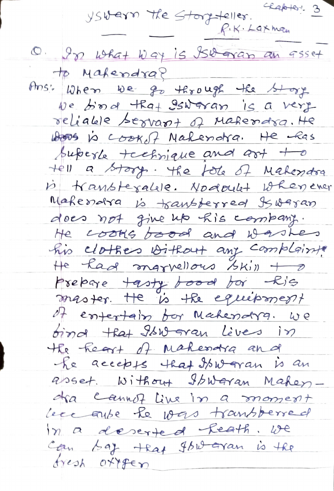$C$ Rabtert 3 yswern the Storyteller. P.K. Laxman O. In what way is 150 gran an 955et to Makendra? Ans: When we go through the Stage We bord that Iswaran is a very reliable servant of Makerdra. He Woods is cooked Nakendra. He has buberle technique and art to tell a story. The fole of Makendra is transtegalise. Nodoulet whenever Makemotra is transferred Iswaram does not give up his combany. He cooks bood and washes his clothes without any complaints He had marvellous skill + 0 prepare tasty bood for Ris master. He is the equipment of empertain for Makendra. we bind that Iswaran lives in the heart of makerara and he accepts that Iswaran is an abset. Without Stowaran Mahendra cannot live in a moment Leccause le vous transferred in a descrited feath. We Can bay that Ibwaran is the fresh offfer